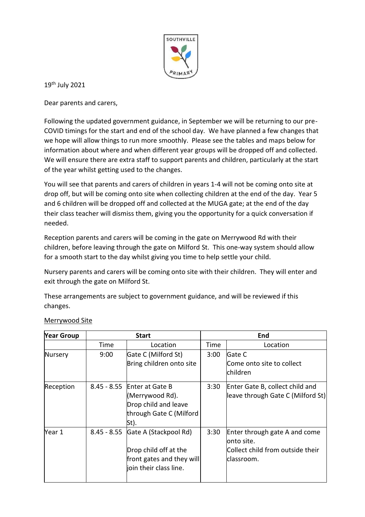

19th July 2021

Dear parents and carers,

Following the updated government guidance, in September we will be returning to our pre-COVID timings for the start and end of the school day. We have planned a few changes that we hope will allow things to run more smoothly. Please see the tables and maps below for information about where and when different year groups will be dropped off and collected. We will ensure there are extra staff to support parents and children, particularly at the start of the year whilst getting used to the changes.

You will see that parents and carers of children in years 1-4 will not be coming onto site at drop off, but will be coming onto site when collecting children at the end of the day. Year 5 and 6 children will be dropped off and collected at the MUGA gate; at the end of the day their class teacher will dismiss them, giving you the opportunity for a quick conversation if needed.

Reception parents and carers will be coming in the gate on Merrywood Rd with their children, before leaving through the gate on Milford St. This one-way system should allow for a smooth start to the day whilst giving you time to help settle your child.

Nursery parents and carers will be coming onto site with their children. They will enter and exit through the gate on Milford St.

These arrangements are subject to government guidance, and will be reviewed if this changes.

| <b>Year Group</b> | <b>Start</b> |                                                                                                                   | End  |                                                                                                 |
|-------------------|--------------|-------------------------------------------------------------------------------------------------------------------|------|-------------------------------------------------------------------------------------------------|
|                   | Time         | Location                                                                                                          | Time | Location                                                                                        |
| Nursery           | 9:00         | Gate C (Milford St)<br>Bring children onto site                                                                   | 3:00 | Gate C<br>Come onto site to collect<br>children                                                 |
| Reception         |              | 8.45 - 8.55 Enter at Gate B<br>(Merrywood Rd).<br>Drop child and leave<br>through Gate C (Milford<br>St).         | 3:30 | Enter Gate B, collect child and<br>leave through Gate C (Milford St)                            |
| Year 1            |              | 8.45 - 8.55 Gate A (Stackpool Rd)<br>Drop child off at the<br>front gates and they will<br>join their class line. | 3:30 | Enter through gate A and come<br>lonto site.<br>Collect child from outside their<br>lclassroom. |

## Merrywood Site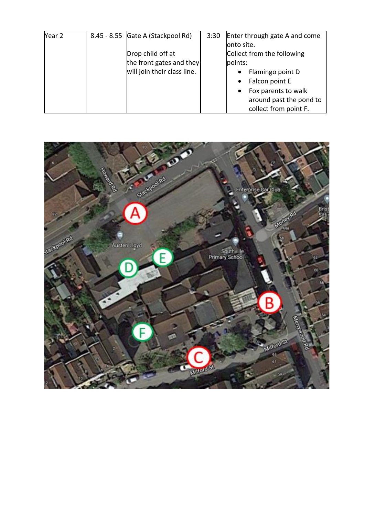| Year 2 | 8.45 - 8.55 Gate A (Stackpool Rd) | 3:30 | Enter through gate A and come    |
|--------|-----------------------------------|------|----------------------------------|
|        |                                   |      | onto site.                       |
|        | Drop child off at                 |      | Collect from the following       |
|        | the front gates and they          |      | points:                          |
|        | will join their class line.       |      | Flamingo point D                 |
|        |                                   |      | Falcon point E                   |
|        |                                   |      | Fox parents to walk<br>$\bullet$ |
|        |                                   |      | around past the pond to          |
|        |                                   |      | collect from point F.            |